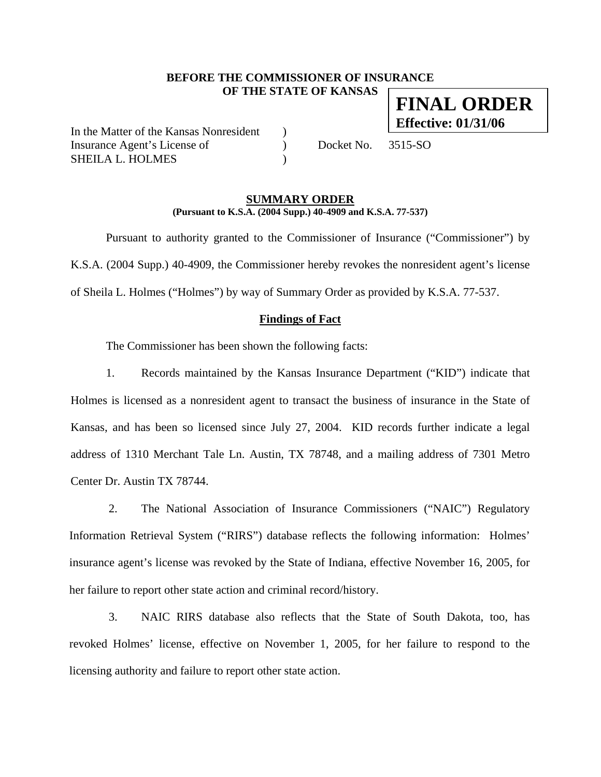# **BEFORE THE COMMISSIONER OF INSURANCE OF THE STATE OF KANSAS**

In the Matter of the Kansas Nonresident ) Insurance Agent's License of  $Docket No. 3515-SO$ SHEILA L. HOLMES

## **SUMMARY ORDER (Pursuant to K.S.A. (2004 Supp.) 40-4909 and K.S.A. 77-537)**

 Pursuant to authority granted to the Commissioner of Insurance ("Commissioner") by K.S.A. (2004 Supp.) 40-4909, the Commissioner hereby revokes the nonresident agent's license of Sheila L. Holmes ("Holmes") by way of Summary Order as provided by K.S.A. 77-537.

## **Findings of Fact**

The Commissioner has been shown the following facts:

1. Records maintained by the Kansas Insurance Department ("KID") indicate that Holmes is licensed as a nonresident agent to transact the business of insurance in the State of Kansas, and has been so licensed since July 27, 2004. KID records further indicate a legal address of 1310 Merchant Tale Ln. Austin, TX 78748, and a mailing address of 7301 Metro Center Dr. Austin TX 78744.

2. The National Association of Insurance Commissioners ("NAIC") Regulatory Information Retrieval System ("RIRS") database reflects the following information: Holmes' insurance agent's license was revoked by the State of Indiana, effective November 16, 2005, for her failure to report other state action and criminal record/history.

3. NAIC RIRS database also reflects that the State of South Dakota, too, has revoked Holmes' license, effective on November 1, 2005, for her failure to respond to the licensing authority and failure to report other state action.

# **FINAL ORDER Effective: 01/31/06**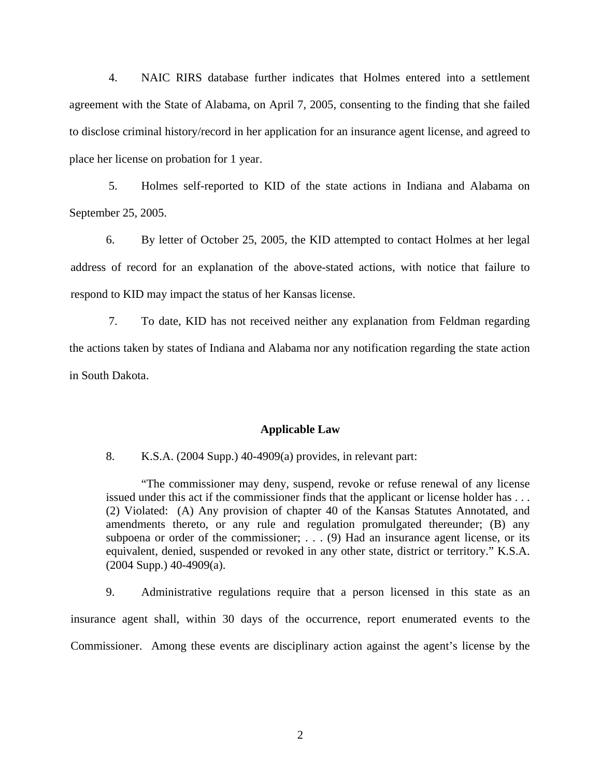4. NAIC RIRS database further indicates that Holmes entered into a settlement agreement with the State of Alabama, on April 7, 2005, consenting to the finding that she failed to disclose criminal history/record in her application for an insurance agent license, and agreed to place her license on probation for 1 year.

5. Holmes self-reported to KID of the state actions in Indiana and Alabama on September 25, 2005.

6. By letter of October 25, 2005, the KID attempted to contact Holmes at her legal address of record for an explanation of the above-stated actions, with notice that failure to respond to KID may impact the status of her Kansas license.

7. To date, KID has not received neither any explanation from Feldman regarding the actions taken by states of Indiana and Alabama nor any notification regarding the state action in South Dakota.

#### **Applicable Law**

8. K.S.A. (2004 Supp.) 40-4909(a) provides, in relevant part:

"The commissioner may deny, suspend, revoke or refuse renewal of any license issued under this act if the commissioner finds that the applicant or license holder has . . . (2) Violated: (A) Any provision of chapter 40 of the Kansas Statutes Annotated, and amendments thereto, or any rule and regulation promulgated thereunder; (B) any subpoena or order of the commissioner;  $\ldots$  (9) Had an insurance agent license, or its equivalent, denied, suspended or revoked in any other state, district or territory." K.S.A. (2004 Supp.) 40-4909(a).

9. Administrative regulations require that a person licensed in this state as an insurance agent shall, within 30 days of the occurrence, report enumerated events to the Commissioner. Among these events are disciplinary action against the agent's license by the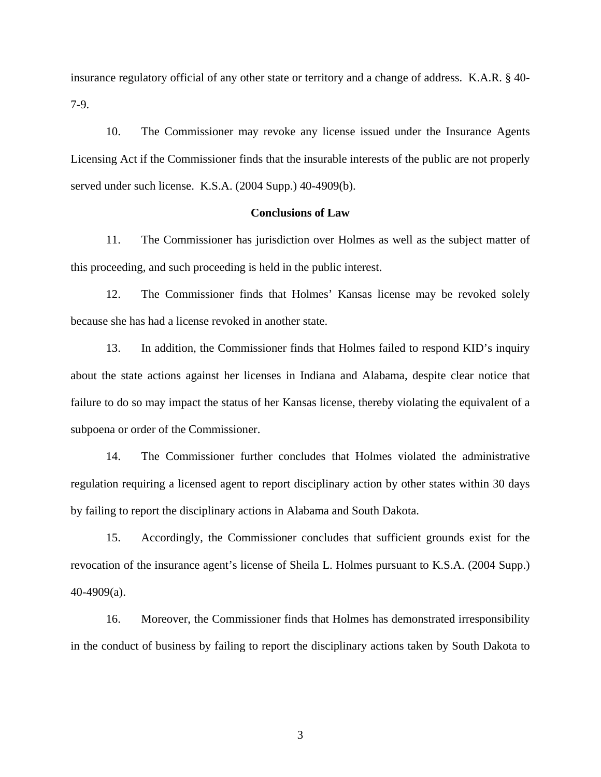insurance regulatory official of any other state or territory and a change of address. K.A.R. § 40- 7-9.

10. The Commissioner may revoke any license issued under the Insurance Agents Licensing Act if the Commissioner finds that the insurable interests of the public are not properly served under such license. K.S.A. (2004 Supp.) 40-4909(b).

## **Conclusions of Law**

11. The Commissioner has jurisdiction over Holmes as well as the subject matter of this proceeding, and such proceeding is held in the public interest.

12. The Commissioner finds that Holmes' Kansas license may be revoked solely because she has had a license revoked in another state.

13. In addition, the Commissioner finds that Holmes failed to respond KID's inquiry about the state actions against her licenses in Indiana and Alabama, despite clear notice that failure to do so may impact the status of her Kansas license, thereby violating the equivalent of a subpoena or order of the Commissioner.

14. The Commissioner further concludes that Holmes violated the administrative regulation requiring a licensed agent to report disciplinary action by other states within 30 days by failing to report the disciplinary actions in Alabama and South Dakota.

15. Accordingly, the Commissioner concludes that sufficient grounds exist for the revocation of the insurance agent's license of Sheila L. Holmes pursuant to K.S.A. (2004 Supp.) 40-4909(a).

16. Moreover, the Commissioner finds that Holmes has demonstrated irresponsibility in the conduct of business by failing to report the disciplinary actions taken by South Dakota to

3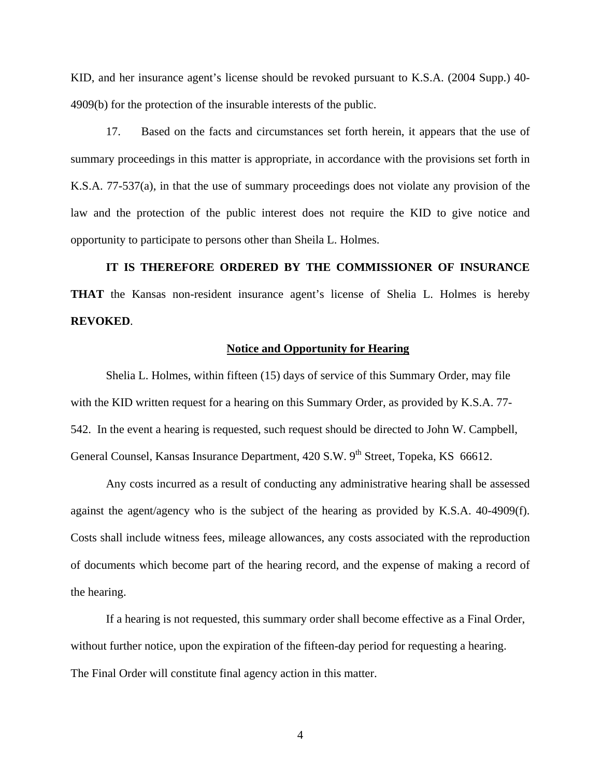KID, and her insurance agent's license should be revoked pursuant to K.S.A. (2004 Supp.) 40- 4909(b) for the protection of the insurable interests of the public.

17. Based on the facts and circumstances set forth herein, it appears that the use of summary proceedings in this matter is appropriate, in accordance with the provisions set forth in K.S.A. 77-537(a), in that the use of summary proceedings does not violate any provision of the law and the protection of the public interest does not require the KID to give notice and opportunity to participate to persons other than Sheila L. Holmes.

**IT IS THEREFORE ORDERED BY THE COMMISSIONER OF INSURANCE THAT** the Kansas non-resident insurance agent's license of Shelia L. Holmes is hereby **REVOKED**.

### **Notice and Opportunity for Hearing**

Shelia L. Holmes, within fifteen (15) days of service of this Summary Order, may file with the KID written request for a hearing on this Summary Order, as provided by K.S.A. 77- 542. In the event a hearing is requested, such request should be directed to John W. Campbell, General Counsel, Kansas Insurance Department, 420 S.W. 9<sup>th</sup> Street, Topeka, KS 66612.

 Any costs incurred as a result of conducting any administrative hearing shall be assessed against the agent/agency who is the subject of the hearing as provided by K.S.A. 40-4909(f). Costs shall include witness fees, mileage allowances, any costs associated with the reproduction of documents which become part of the hearing record, and the expense of making a record of the hearing.

If a hearing is not requested, this summary order shall become effective as a Final Order, without further notice, upon the expiration of the fifteen-day period for requesting a hearing. The Final Order will constitute final agency action in this matter.

4